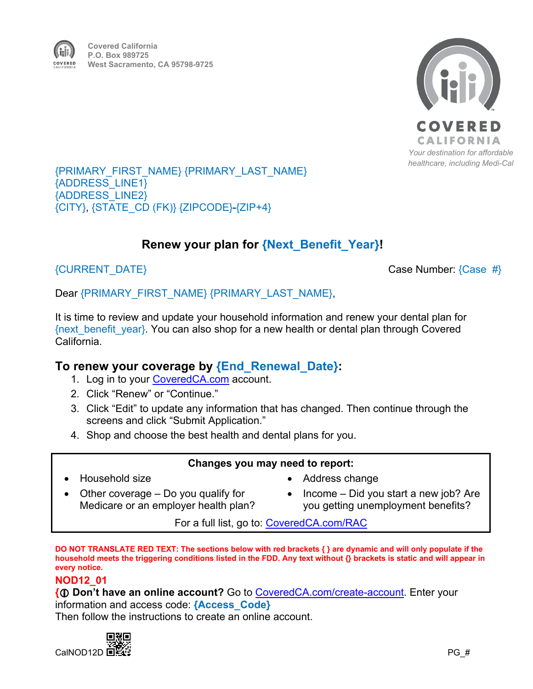

#### {PRIMARY\_FIRST\_NAME} {PRIMARY\_LAST\_NAME} {ADDRESS\_LINE1} {ADDRESS\_LINE2} {CITY}, {STATE\_CD (FK)} {ZIPCODE}-{ZIP+4}

# **Renew your plan for {Next\_Benefit\_Year}!**

 ${CURRENT$   $\overline{DATE}}$   $\overline{CURRENT}$   $\overline{DATE}$ 

Dear {PRIMARY\_FIRST\_NAME} {PRIMARY\_LAST\_NAME},

It is time to review and update your household information and renew your dental plan for {next\_benefit\_year}. You can also shop for a new health or dental plan through Covered California.

## **To renew your coverage by {End\_Renewal\_Date}:**

- 1. Log in to your [CoveredCA.com](http://www.coveredca.com/) account.
- 2. Click "Renew" or "Continue."
- 3. Click "Edit" to update any information that has changed. Then continue through the screens and click "Submit Application."
- 4. Shop and choose the best health and dental plans for you.

### **Changes you may need to report:**

• Household size

- Address change
- Other coverage Do you qualify for Medicare or an employer health plan?
- Income Did you start a new job? Are you getting unemployment benefits?

For a full list, go to: [CoveredCA.com/RAC](https://www.coveredca.com/members/reporting-a-change/)

**DO NOT TRANSLATE RED TEXT: The sections below with red brackets { } are dynamic and will only populate if the household meets the triggering conditions listed in the FDD. Any text without {} brackets is static and will appear in every notice.** 

#### **NOD12\_01**

**{ Don't have an online account?** Go to [CoveredCA.com/create-account.](https://apply.coveredca.com/static/lw-web/account-creation/access-case) Enter your information and access code: **{Access\_Code}**

Then follow the instructions to create an online account.

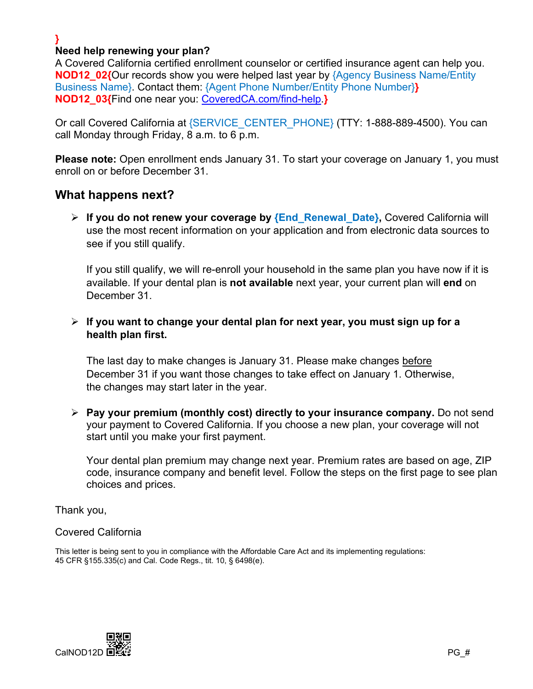#### **} Need help renewing your plan?**

A Covered California certified enrollment counselor or certified insurance agent can help you. **NOD12 02{Our records show you were helped last year by {Agency Business Name/Entity** Business Name}. Contact them: {Agent Phone Number/Entity Phone Number}**} NOD12\_03{**Find one near you: [CoveredCA.com/find-help.](https://www.coveredca.com/find-help/)**}**

Or call Covered California at {SERVICE\_CENTER\_PHONE} (TTY: 1-888-889-4500). You can call Monday through Friday, 8 a.m. to 6 p.m.

**Please note:** Open enrollment ends January 31. To start your coverage on January 1, you must enroll on or before December 31.

## **What happens next?**

 **If you do not renew your coverage by {End\_Renewal\_Date},** Covered California will use the most recent information on your application and from electronic data sources to see if you still qualify.

If you still qualify, we will re-enroll your household in the same plan you have now if it is available. If your dental plan is **not available** next year, your current plan will **end** on December 31.

## **If you want to change your dental plan for next year, you must sign up for a health plan first.**

The last day to make changes is January 31. Please make changes before December 31 if you want those changes to take effect on January 1. Otherwise, the changes may start later in the year.

 **Pay your premium (monthly cost) directly to your insurance company.** Do not send your payment to Covered California. If you choose a new plan, your coverage will not start until you make your first payment.

Your dental plan premium may change next year. Premium rates are based on age, ZIP code, insurance company and benefit level. Follow the steps on the first page to see plan choices and prices.

Thank you,

#### Covered California

This letter is being sent to you in compliance with the Affordable Care Act and its implementing regulations: 45 CFR §155.335(c) and Cal. Code Regs., tit. 10, § 6498(e).

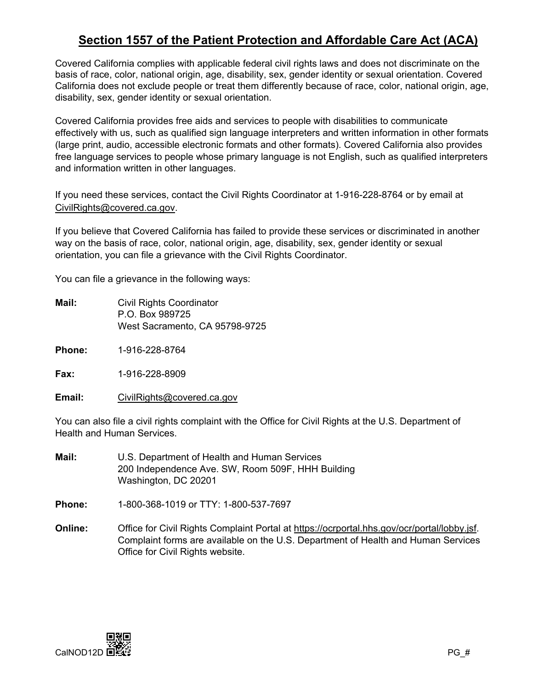# **Section 1557 of the Patient Protection and Affordable Care Act (ACA)**

Covered California complies with applicable federal civil rights laws and does not discriminate on the basis of race, color, national origin, age, disability, sex, gender identity or sexual orientation. Covered California does not exclude people or treat them differently because of race, color, national origin, age, disability, sex, gender identity or sexual orientation.

Covered California provides free aids and services to people with disabilities to communicate effectively with us, such as qualified sign language interpreters and written information in other formats (large print, audio, accessible electronic formats and other formats). Covered California also provides free language services to people whose primary language is not English, such as qualified interpreters and information written in other languages.

If you need these services, contact the Civil Rights Coordinator at 1-916-228-8764 or by email at [CivilRights@covered.ca.gov.](mailto:CivilRights@covered.ca.gov)

If you believe that Covered California has failed to provide these services or discriminated in another way on the basis of race, color, national origin, age, disability, sex, gender identity or sexual orientation, you can file a grievance with the Civil Rights Coordinator.

You can file a grievance in the following ways:

- **Mail:** Civil Rights Coordinator P.O. Box 989725 West Sacramento, CA 95798-9725
- **Phone:** 1-916-228-8764

**Fax:** 1-916-228-8909

**Email:** [CivilRights@covered.ca.gov](mailto:CivilRights@covered.ca.gov)

You can also file a civil rights complaint with the Office for Civil Rights at the U.S. Department of Health and Human Services.

- **Mail:** U.S. Department of Health and Human Services 200 Independence Ave. SW, Room 509F, HHH Building Washington, DC 20201
- **Phone:** 1-800-368-1019 or TTY: 1-800-537-7697
- **Online:** Office for Civil Rights Complaint Portal at [https://ocrportal.hhs.gov/ocr/portal/lobby.jsf.](https://ocrportal.hhs.gov/ocr/portal/lobby.jsf) Complaint forms are available on the U.S. Department of Health and Human Services Office for Civil Rights website.